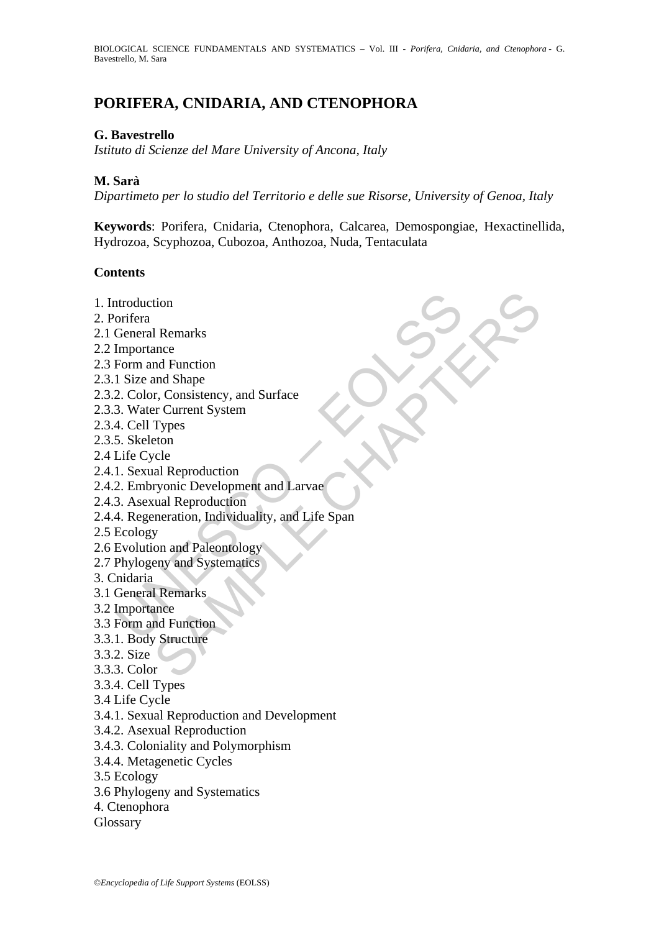# **PORIFERA, CNIDARIA, AND CTENOPHORA**

#### **G. Bavestrello**

*Istituto di Scienze del Mare University of Ancona, Italy* 

#### **M. Sarà**

*Dipartimeto per lo studio del Territorio e delle sue Risorse, University of Genoa, Italy* 

**Keywords**: Porifera, Cnidaria, Ctenophora, Calcarea, Demospongiae, Hexactinellida, Hydrozoa, Scyphozoa, Cubozoa, Anthozoa, Nuda, Tentaculata

#### **Contents**

- 1. Introduction
- 2. Porifera
- 2.1 General Remarks
- 2.2 Importance
- 2.3 Form and Function
- 2.3.1 Size and Shape
- 2.3.2. Color, Consistency, and Surface
- 2.3.3. Water Current System
- 2.3.4. Cell Types
- 2.3.5. Skeleton
- 2.4 Life Cycle
- 2.4.1. Sexual Reproduction
- 2.4.2. Embryonic Development and Larvae
- 2.4.3. Asexual Reproduction
- ntroduction<br>
orifera<br>
General Remarks<br>
Importance<br>
Importance<br>
1 Size and Shape<br>
2. Color, Consistency, and Surface<br>
3. Water Current System<br>
4. Cell Types<br>
5. Skeleton<br>
1. Escaul Reproduction<br>
2. Embryonic Development and tion<br>
I Remarks<br>
ance<br>
and Function<br>
and Shape<br>
r. Cursistency, and Surface<br>
r. Turent System<br>
Types<br>
eton<br>
clual Reproduction<br>
valual Reproduction<br>
y and Paleontology<br>
y<br>
on and Paleontology<br>
y<br>
on and Paleontology<br>
y<br>
Re 2.4.4. Regeneration, Individuality, and Life Span
- 2.5 Ecology
- 2.6 Evolution and Paleontology
- 2.7 Phylogeny and Systematics
- 3. Cnidaria
- 3.1 General Remarks
- 3.2 Importance
- 3.3 Form and Function
- 3.3.1. Body Structure
- 3.3.2. Size
- 3.3.3. Color
- 3.3.4. Cell Types
- 3.4 Life Cycle
- 3.4.1. Sexual Reproduction and Development
- 3.4.2. Asexual Reproduction
- 3.4.3. Coloniality and Polymorphism
- 3.4.4. Metagenetic Cycles
- 3.5 Ecology
- 3.6 Phylogeny and Systematics
- 4. Ctenophora
- Glossary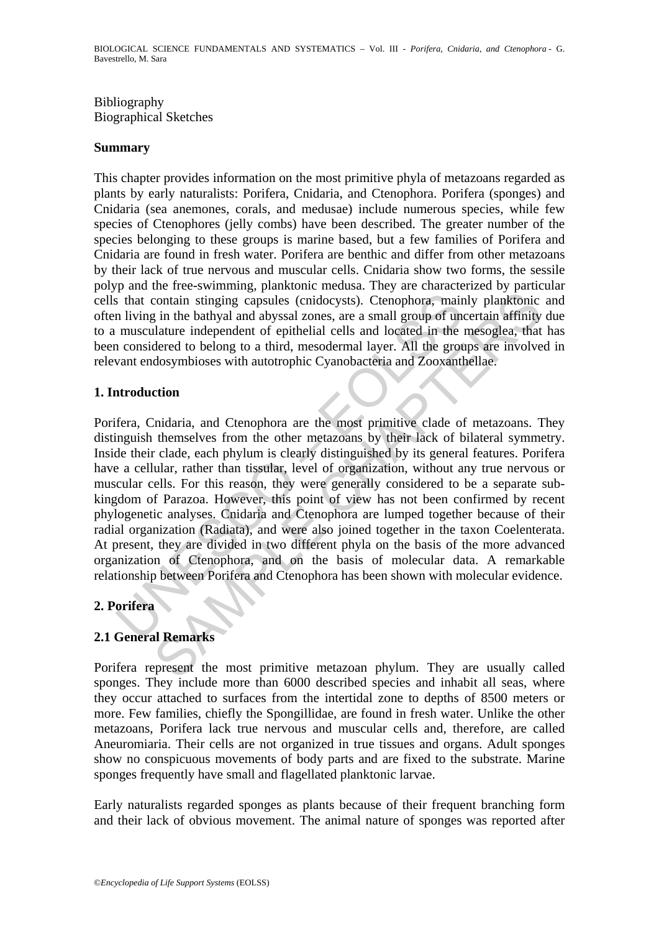### Bibliography Biographical Sketches

#### **Summary**

This chapter provides information on the most primitive phyla of metazoans regarded as plants by early naturalists: Porifera, Cnidaria, and Ctenophora. Porifera (sponges) and Cnidaria (sea anemones, corals, and medusae) include numerous species, while few species of Ctenophores (jelly combs) have been described. The greater number of the species belonging to these groups is marine based, but a few families of Porifera and Cnidaria are found in fresh water. Porifera are benthic and differ from other metazoans by their lack of true nervous and muscular cells. Cnidaria show two forms, the sessile polyp and the free-swimming, planktonic medusa. They are characterized by particular cells that contain stinging capsules (cnidocysts). Ctenophora, mainly planktonic and often living in the bathyal and abyssal zones, are a small group of uncertain affinity due to a musculature independent of epithelial cells and located in the mesoglea, that has been considered to belong to a third, mesodermal layer. All the groups are involved in relevant endosymbioses with autotrophic Cyanobacteria and Zooxanthellae.

### **1. Introduction**

is that contain stinging capsules (cnidocysts). Ctenophora, main<br>n living in the bathyal and abyssal zones, are a small group of un<br>musculature independent of epithelial cells and located in the<br>n considered to belong to a contain stinging capsules (cnidocysts). Ctenophora, mainly planktonic<br>contain stinging capsules (cnidocysts). Ctenophora, mainly planktonic<br>in the bathyal and abyssal zones, are a small group of uncertain affinity<br>latter i Porifera, Cnidaria, and Ctenophora are the most primitive clade of metazoans. They distinguish themselves from the other metazoans by their lack of bilateral symmetry. Inside their clade, each phylum is clearly distinguished by its general features. Porifera have a cellular, rather than tissular, level of organization, without any true nervous or muscular cells. For this reason, they were generally considered to be a separate subkingdom of Parazoa. However, this point of view has not been confirmed by recent phylogenetic analyses. Cnidaria and Ctenophora are lumped together because of their radial organization (Radiata), and were also joined together in the taxon Coelenterata. At present, they are divided in two different phyla on the basis of the more advanced organization of Ctenophora, and on the basis of molecular data. A remarkable relationship between Porifera and Ctenophora has been shown with molecular evidence.

# **2. Porifera**

# **2.1 General Remarks**

Porifera represent the most primitive metazoan phylum. They are usually called sponges. They include more than 6000 described species and inhabit all seas, where they occur attached to surfaces from the intertidal zone to depths of 8500 meters or more. Few families, chiefly the Spongillidae, are found in fresh water. Unlike the other metazoans, Porifera lack true nervous and muscular cells and, therefore, are called Aneuromiaria. Their cells are not organized in true tissues and organs. Adult sponges show no conspicuous movements of body parts and are fixed to the substrate. Marine sponges frequently have small and flagellated planktonic larvae.

Early naturalists regarded sponges as plants because of their frequent branching form and their lack of obvious movement. The animal nature of sponges was reported after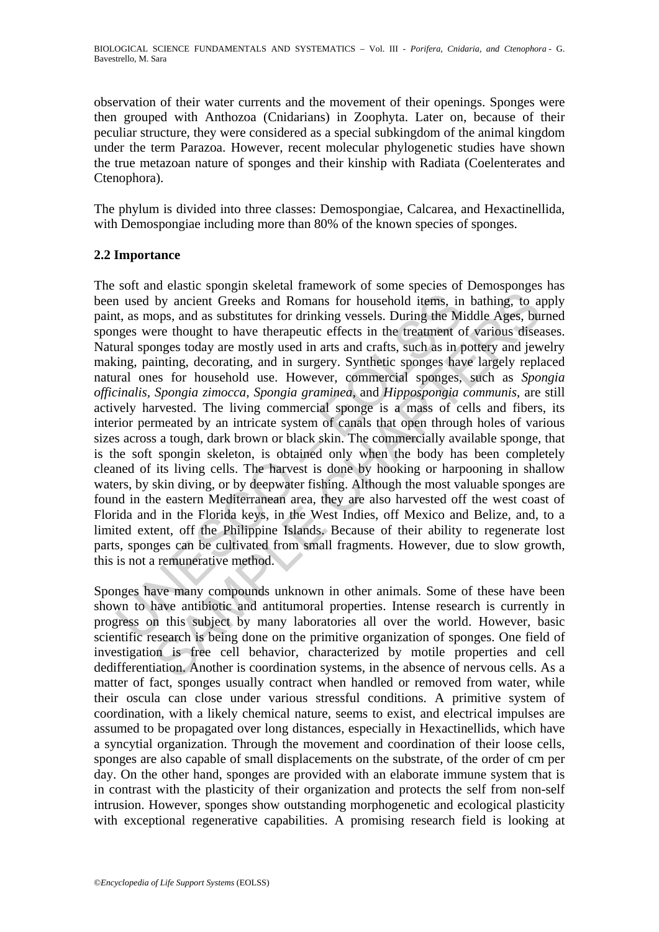observation of their water currents and the movement of their openings. Sponges were then grouped with Anthozoa (Cnidarians) in Zoophyta. Later on, because of their peculiar structure, they were considered as a special subkingdom of the animal kingdom under the term Parazoa. However, recent molecular phylogenetic studies have shown the true metazoan nature of sponges and their kinship with Radiata (Coelenterates and Ctenophora).

The phylum is divided into three classes: Demospongiae, Calcarea, and Hexactinellida, with Demospongiae including more than 80% of the known species of sponges.

### **2.2 Importance**

1 used by ancient Greeks and Romans for household items, in<br>t, as mops, and as substitutes for drinking vessels. During the Mi<br>ges were thought to have therapeutic effects in the treatment o<br>ural sponges today are mostly u by ancient Greeks and Romans for busehold items, in bathing, to appose of a protect of extended items, in bathing, to appose to pops, and as substitutes for drinking vessels. During the Middle Ages, buy ancient Greeks in t The soft and elastic spongin skeletal framework of some species of Demosponges has been used by ancient Greeks and Romans for household items, in bathing, to apply paint, as mops, and as substitutes for drinking vessels. During the Middle Ages, burned sponges were thought to have therapeutic effects in the treatment of various diseases. Natural sponges today are mostly used in arts and crafts, such as in pottery and jewelry making, painting, decorating, and in surgery. Synthetic sponges have largely replaced natural ones for household use. However, commercial sponges, such as *Spongia officinalis, Spongia zimocca, Spongia graminea,* and *Hippospongia communis*, are still actively harvested. The living commercial sponge is a mass of cells and fibers, its interior permeated by an intricate system of canals that open through holes of various sizes across a tough, dark brown or black skin. The commercially available sponge, that is the soft spongin skeleton, is obtained only when the body has been completely cleaned of its living cells. The harvest is done by hooking or harpooning in shallow waters, by skin diving, or by deepwater fishing. Although the most valuable sponges are found in the eastern Mediterranean area, they are also harvested off the west coast of Florida and in the Florida keys, in the West Indies, off Mexico and Belize, and, to a limited extent, off the Philippine Islands. Because of their ability to regenerate lost parts, sponges can be cultivated from small fragments. However, due to slow growth, this is not a remunerative method.

Sponges have many compounds unknown in other animals. Some of these have been shown to have antibiotic and antitumoral properties. Intense research is currently in progress on this subject by many laboratories all over the world. However, basic scientific research is being done on the primitive organization of sponges. One field of investigation is free cell behavior, characterized by motile properties and cell dedifferentiation. Another is coordination systems, in the absence of nervous cells. As a matter of fact, sponges usually contract when handled or removed from water, while their oscula can close under various stressful conditions. A primitive system of coordination, with a likely chemical nature, seems to exist, and electrical impulses are assumed to be propagated over long distances, especially in Hexactinellids, which have a syncytial organization. Through the movement and coordination of their loose cells, sponges are also capable of small displacements on the substrate, of the order of cm per day. On the other hand, sponges are provided with an elaborate immune system that is in contrast with the plasticity of their organization and protects the self from non-self intrusion. However, sponges show outstanding morphogenetic and ecological plasticity with exceptional regenerative capabilities. A promising research field is looking at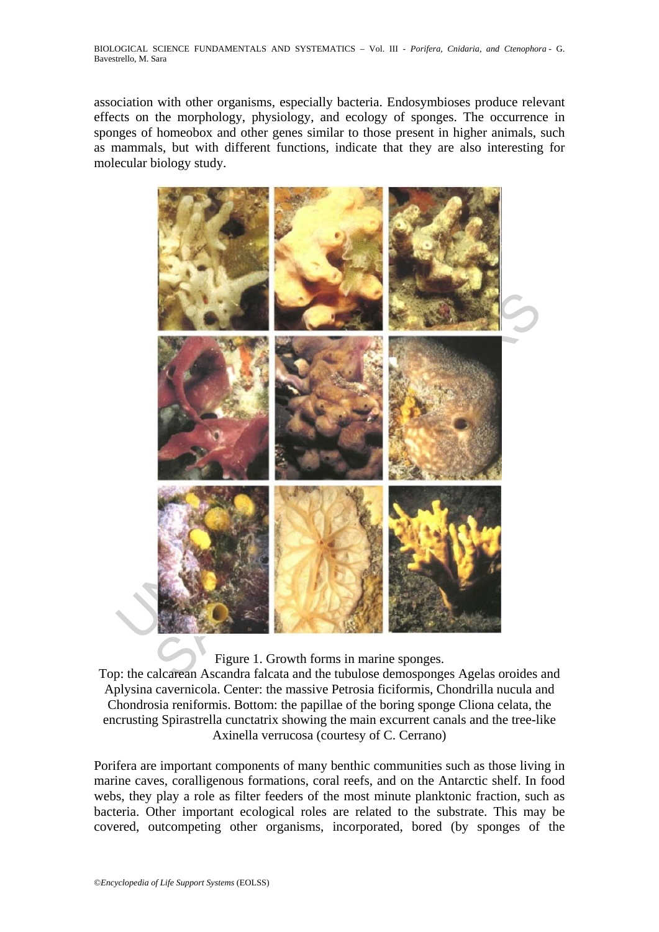association with other organisms, especially bacteria. Endosymbioses produce relevant effects on the morphology, physiology, and ecology of sponges. The occurrence in sponges of homeobox and other genes similar to those present in higher animals, such as mammals, but with different functions, indicate that they are also interesting for molecular biology study.



Figure 1. Growth forms in marine sponges.

Top: the calcarean Ascandra falcata and the tubulose demosponges Agelas oroides and Aplysina cavernicola. Center: the massive Petrosia ficiformis, Chondrilla nucula and Chondrosia reniformis. Bottom: the papillae of the boring sponge Cliona celata, the encrusting Spirastrella cunctatrix showing the main excurrent canals and the tree-like Axinella verrucosa (courtesy of C. Cerrano)

Porifera are important components of many benthic communities such as those living in marine caves, coralligenous formations, coral reefs, and on the Antarctic shelf. In food webs, they play a role as filter feeders of the most minute planktonic fraction, such as bacteria. Other important ecological roles are related to the substrate. This may be covered, outcompeting other organisms, incorporated, bored (by sponges of the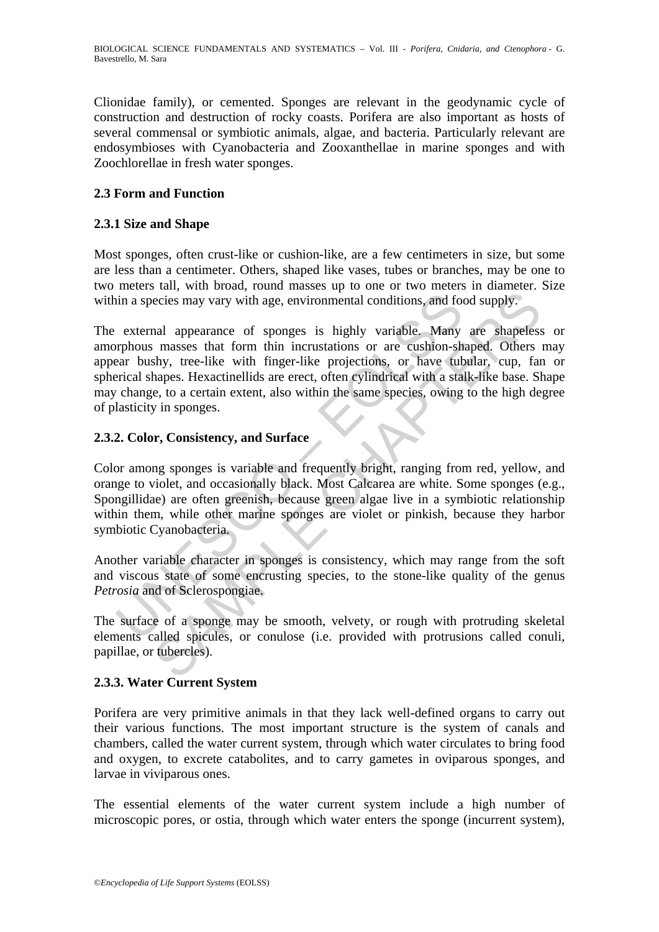Clionidae family), or cemented. Sponges are relevant in the geodynamic cycle of construction and destruction of rocky coasts. Porifera are also important as hosts of several commensal or symbiotic animals, algae, and bacteria. Particularly relevant are endosymbioses with Cyanobacteria and Zooxanthellae in marine sponges and with Zoochlorellae in fresh water sponges.

### **2.3 Form and Function**

### **2.3.1 Size and Shape**

Most sponges, often crust-like or cushion-like, are a few centimeters in size, but some are less than a centimeter. Others, shaped like vases, tubes or branches, may be one to two meters tall, with broad, round masses up to one or two meters in diameter. Size within a species may vary with age, environmental conditions, and food supply.

in a species may vary with age, environmental conditions, and for<br>external appearance of sponges is highly variable. Many<br>prohous masses that form thin incrustations or are cushion-sh<br>ear bushy, tree-like with finger-like ecies may vary with age, environmental conditions, and food supply.<br>ecies may vary with age, environmental conditions, and food supply.<br>and appearance of sponges is highly variable. Many are shapeless<br>masses that form thin The external appearance of sponges is highly variable. Many are shapeless or amorphous masses that form thin incrustations or are cushion-shaped. Others may appear bushy, tree-like with finger-like projections, or have tubular, cup, fan or spherical shapes. Hexactinellids are erect, often cylindrical with a stalk-like base. Shape may change, to a certain extent, also within the same species, owing to the high degree of plasticity in sponges.

#### **2.3.2. Color, Consistency, and Surface**

Color among sponges is variable and frequently bright, ranging from red, yellow, and orange to violet, and occasionally black. Most Calcarea are white. Some sponges (e.g., Spongillidae) are often greenish, because green algae live in a symbiotic relationship within them, while other marine sponges are violet or pinkish, because they harbor symbiotic Cyanobacteria.

Another variable character in sponges is consistency, which may range from the soft and viscous state of some encrusting species, to the stone-like quality of the genus *Petrosia* and of Sclerospongiae.

The surface of a sponge may be smooth, velvety, or rough with protruding skeletal elements called spicules, or conulose (i.e. provided with protrusions called conuli, papillae, or tubercles).

### **2.3.3. Water Current System**

Porifera are very primitive animals in that they lack well-defined organs to carry out their various functions. The most important structure is the system of canals and chambers, called the water current system, through which water circulates to bring food and oxygen, to excrete catabolites, and to carry gametes in oviparous sponges, and larvae in viviparous ones.

The essential elements of the water current system include a high number of microscopic pores, or ostia, through which water enters the sponge (incurrent system),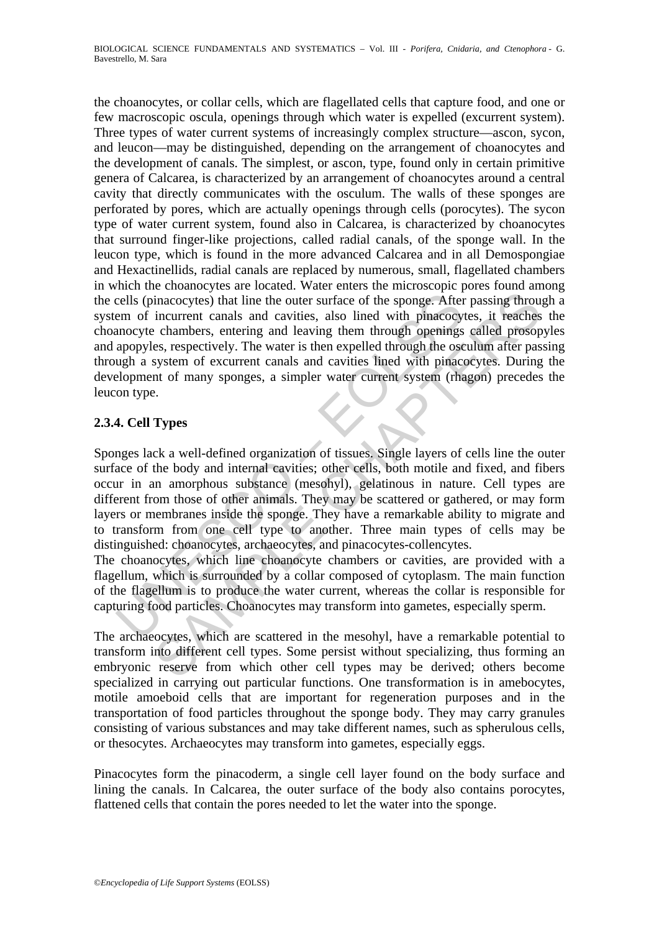cells (pinacocytes) that line the outer surface of the sponge. After<br>em of incurrent canals and cavities, also lined with pinacocy<br>anocyte chambers, entering and leaving them through openings<br>apopyles, respectively. The wa inacocytes) that line the outer surface of the sponge. After passing throu incurrent canals and cavities, also lined with pinacocytes, it reaches<br>es, respectively. The water is then expelled through openings called prosope the choanocytes, or collar cells, which are flagellated cells that capture food, and one or few macroscopic oscula, openings through which water is expelled (excurrent system). Three types of water current systems of increasingly complex structure—ascon, sycon, and leucon—may be distinguished, depending on the arrangement of choanocytes and the development of canals. The simplest, or ascon, type, found only in certain primitive genera of Calcarea, is characterized by an arrangement of choanocytes around a central cavity that directly communicates with the osculum. The walls of these sponges are perforated by pores, which are actually openings through cells (porocytes). The sycon type of water current system, found also in Calcarea, is characterized by choanocytes that surround finger-like projections, called radial canals, of the sponge wall. In the leucon type, which is found in the more advanced Calcarea and in all Demospongiae and Hexactinellids, radial canals are replaced by numerous, small, flagellated chambers in which the choanocytes are located. Water enters the microscopic pores found among the cells (pinacocytes) that line the outer surface of the sponge. After passing through a system of incurrent canals and cavities, also lined with pinacocytes, it reaches the choanocyte chambers, entering and leaving them through openings called prosopyles and apopyles, respectively. The water is then expelled through the osculum after passing through a system of excurrent canals and cavities lined with pinacocytes. During the development of many sponges, a simpler water current system (rhagon) precedes the leucon type.

# **2.3.4. Cell Types**

Sponges lack a well-defined organization of tissues. Single layers of cells line the outer surface of the body and internal cavities; other cells, both motile and fixed, and fibers occur in an amorphous substance (mesohyl), gelatinous in nature. Cell types are different from those of other animals. They may be scattered or gathered, or may form layers or membranes inside the sponge. They have a remarkable ability to migrate and to transform from one cell type to another. Three main types of cells may be distinguished: choanocytes, archaeocytes, and pinacocytes-collencytes.

The choanocytes, which line choanocyte chambers or cavities, are provided with a flagellum, which is surrounded by a collar composed of cytoplasm. The main function of the flagellum is to produce the water current, whereas the collar is responsible for capturing food particles. Choanocytes may transform into gametes, especially sperm.

The archaeocytes, which are scattered in the mesohyl, have a remarkable potential to transform into different cell types. Some persist without specializing, thus forming an embryonic reserve from which other cell types may be derived; others become specialized in carrying out particular functions. One transformation is in amebocytes, motile amoeboid cells that are important for regeneration purposes and in the transportation of food particles throughout the sponge body. They may carry granules consisting of various substances and may take different names, such as spherulous cells, or thesocytes. Archaeocytes may transform into gametes, especially eggs.

Pinacocytes form the pinacoderm, a single cell layer found on the body surface and lining the canals. In Calcarea, the outer surface of the body also contains porocytes, flattened cells that contain the pores needed to let the water into the sponge.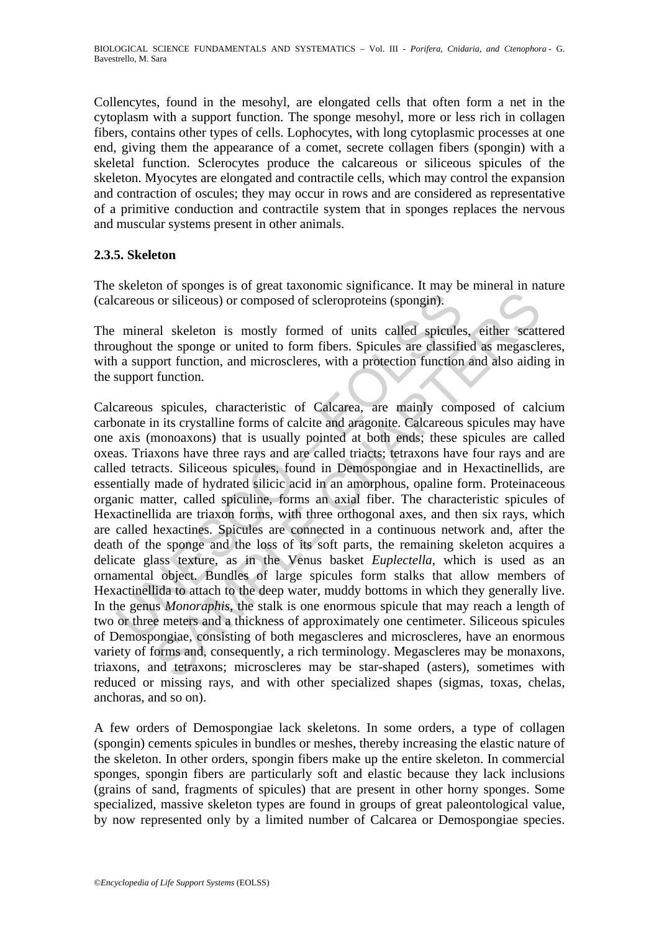Collencytes, found in the mesohyl, are elongated cells that often form a net in the cytoplasm with a support function. The sponge mesohyl, more or less rich in collagen fibers, contains other types of cells. Lophocytes, with long cytoplasmic processes at one end, giving them the appearance of a comet, secrete collagen fibers (spongin) with a skeletal function. Sclerocytes produce the calcareous or siliceous spicules of the skeleton. Myocytes are elongated and contractile cells, which may control the expansion and contraction of oscules; they may occur in rows and are considered as representative of a primitive conduction and contractile system that in sponges replaces the nervous and muscular systems present in other animals.

### **2.3.5. Skeleton**

The skeleton of sponges is of great taxonomic significance. It may be mineral in nature (calcareous or siliceous) or composed of scleroproteins (spongin).

The mineral skeleton is mostly formed of units called spicules, either scattered throughout the sponge or united to form fibers. Spicules are classified as megascleres, with a support function, and microscleres, with a protection function and also aiding in the support function.

careous or siliceous) or composed of scleroproteins (spongin).<br>
mineral skeleton is mostly formed of units called spieules<br>
ughout the sponge or united to form fibers. Spicules are classifical<br>
ughout the sponge or united is or siliceous) or composed of scleroproteins (spongin).<br>
The solicity is or siliceous) or composed of scleroproteins (spongin).<br>
The sponge or united to form fibers. Spicules are alassified as megascle port function, and Calcareous spicules, characteristic of Calcarea, are mainly composed of calcium carbonate in its crystalline forms of calcite and aragonite. Calcareous spicules may have one axis (monoaxons) that is usually pointed at both ends; these spicules are called oxeas. Triaxons have three rays and are called triacts; tetraxons have four rays and are called tetracts. Siliceous spicules, found in Demospongiae and in Hexactinellids, are essentially made of hydrated silicic acid in an amorphous, opaline form. Proteinaceous organic matter, called spiculine, forms an axial fiber. The characteristic spicules of Hexactinellida are triaxon forms, with three orthogonal axes, and then six rays, which are called hexactines. Spicules are connected in a continuous network and, after the death of the sponge and the loss of its soft parts, the remaining skeleton acquires a delicate glass texture, as in the Venus basket *Euplectella*, which is used as an ornamental object. Bundles of large spicules form stalks that allow members of Hexactinellida to attach to the deep water, muddy bottoms in which they generally live. In the genus *Monoraphis*, the stalk is one enormous spicule that may reach a length of two or three meters and a thickness of approximately one centimeter. Siliceous spicules of Demospongiae, consisting of both megascleres and microscleres, have an enormous variety of forms and, consequently, a rich terminology. Megascleres may be monaxons, triaxons, and tetraxons; microscleres may be star-shaped (asters), sometimes with reduced or missing rays, and with other specialized shapes (sigmas, toxas, chelas, anchoras, and so on).

A few orders of Demospongiae lack skeletons. In some orders, a type of collagen (spongin) cements spicules in bundles or meshes, thereby increasing the elastic nature of the skeleton. In other orders, spongin fibers make up the entire skeleton. In commercial sponges, spongin fibers are particularly soft and elastic because they lack inclusions (grains of sand, fragments of spicules) that are present in other horny sponges. Some specialized, massive skeleton types are found in groups of great paleontological value, by now represented only by a limited number of Calcarea or Demospongiae species.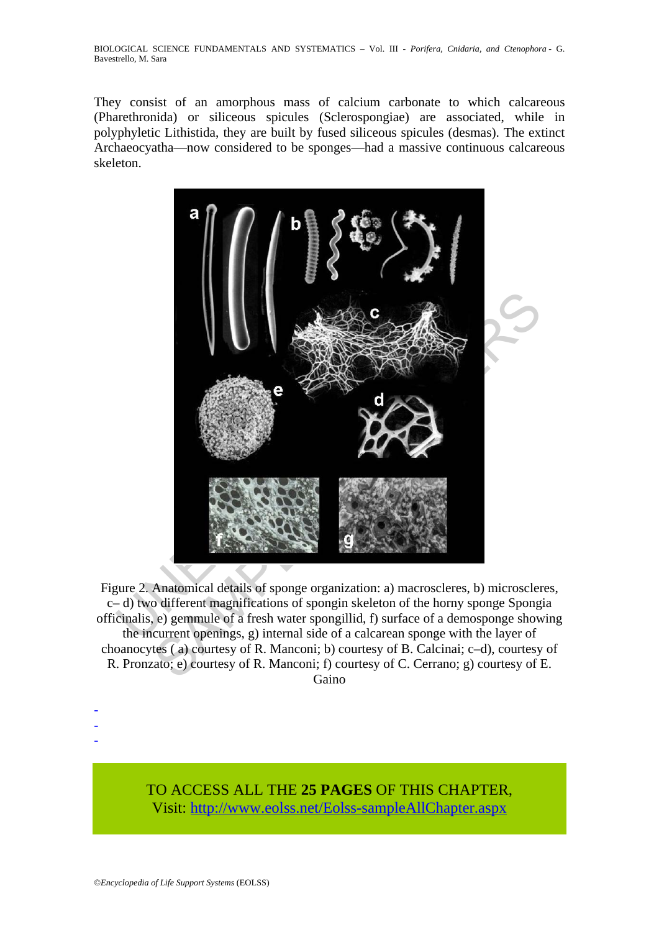BIOLOGICAL SCIENCE FUNDAMENTALS AND SYSTEMATICS – Vol. III - *Porifera, Cnidaria, and Ctenophora* - G. Bavestrello, M. Sara

They consist of an amorphous mass of calcium carbonate to which calcareous (Pharethronida) or siliceous spicules (Sclerospongiae) are associated, while in polyphyletic Lithistida, they are built by fused siliceous spicules (desmas). The extinct Archaeocyatha—now considered to be sponges—had a massive continuous calcareous skeleton.



Figure 2. Anatomical details of sponge organization: a) macroscleres, b) microscleres, c– d) two different magnifications of spongin skeleton of the horny sponge Spongia officinalis, e) gemmule of a fresh water spongillid, f) surface of a demosponge showing the incurrent openings, g) internal side of a calcarean sponge with the layer of choanocytes ( a) courtesy of R. Manconi; b) courtesy of B. Calcinai; c–d), courtesy of R. Pronzato; e) courtesy of R. Manconi; f) courtesy of C. Cerrano; g) courtesy of E. Gaino

> TO ACCESS ALL THE **25 PAGES** OF THIS CHAPTER, Visit[: http://www.eolss.net/Eolss-sampleAllChapter.aspx](https://www.eolss.net/ebooklib/sc_cart.aspx?File=E6-71-07-01)

- - -